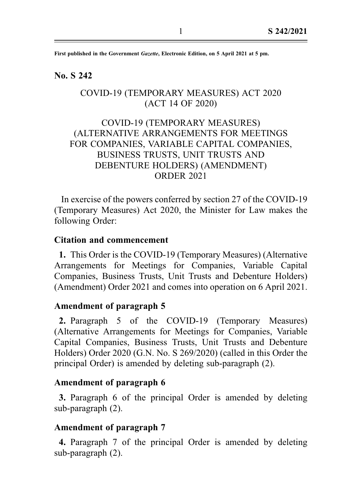First published in the Government Gazette, Electronic Edition, on 5 April 2021 at 5 pm.

#### No. S 242

## COVID-19 (TEMPORARY MEASURES) ACT 2020 (ACT 14 OF 2020)

# COVID-19 (TEMPORARY MEASURES) (ALTERNATIVE ARRANGEMENTS FOR MEETINGS FOR COMPANIES, VARIABLE CAPITAL COMPANIES, BUSINESS TRUSTS, UNIT TRUSTS AND DEBENTURE HOLDERS) (AMENDMENT) ORDER 2021

In exercise of the powers conferred by section 27 of the COVID-19 (Temporary Measures) Act 2020, the Minister for Law makes the following Order:

#### Citation and commencement

1. This Order is the COVID-19 (Temporary Measures) (Alternative Arrangements for Meetings for Companies, Variable Capital Companies, Business Trusts, Unit Trusts and Debenture Holders) (Amendment) Order 2021 and comes into operation on 6 April 2021.

#### Amendment of paragraph 5

2. Paragraph 5 of the COVID-19 (Temporary Measures) (Alternative Arrangements for Meetings for Companies, Variable Capital Companies, Business Trusts, Unit Trusts and Debenture Holders) Order 2020 (G.N. No. S 269/2020) (called in this Order the principal Order) is amended by deleting sub-paragraph (2).

#### Amendment of paragraph 6

3. Paragraph 6 of the principal Order is amended by deleting sub-paragraph (2).

#### Amendment of paragraph 7

4. Paragraph 7 of the principal Order is amended by deleting sub-paragraph (2).